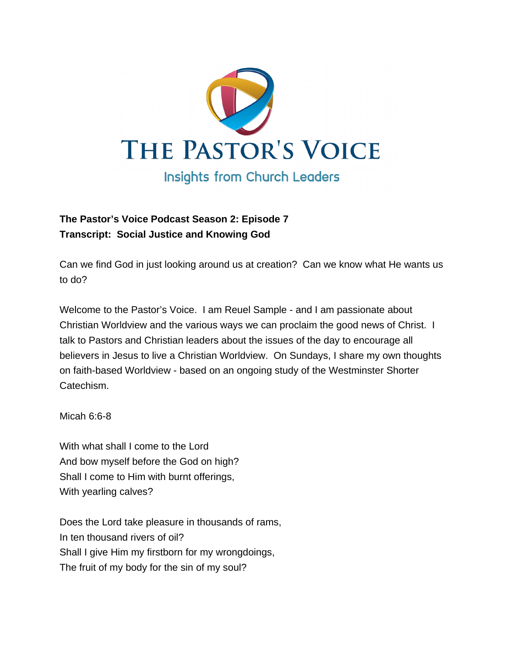

## **The Pastor's Voice Podcast Season 2: Episode 7 Transcript: Social Justice and Knowing God**

Can we find God in just looking around us at creation? Can we know what He wants us to do?

Welcome to the Pastor's Voice. I am Reuel Sample - and I am passionate about Christian Worldview and the various ways we can proclaim the good news of Christ. I talk to Pastors and Christian leaders about the issues of the day to encourage all believers in Jesus to live a Christian Worldview. On Sundays, I share my own thoughts on faith-based Worldview - based on an ongoing study of the Westminster Shorter Catechism.

Micah 6:6-8

With what shall I come to the Lord And bow myself before the God on high? Shall I come to Him with burnt offerings, With yearling calves?

Does the Lord take pleasure in thousands of rams, In ten thousand rivers of oil? Shall I give Him my firstborn for my wrongdoings, The fruit of my body for the sin of my soul?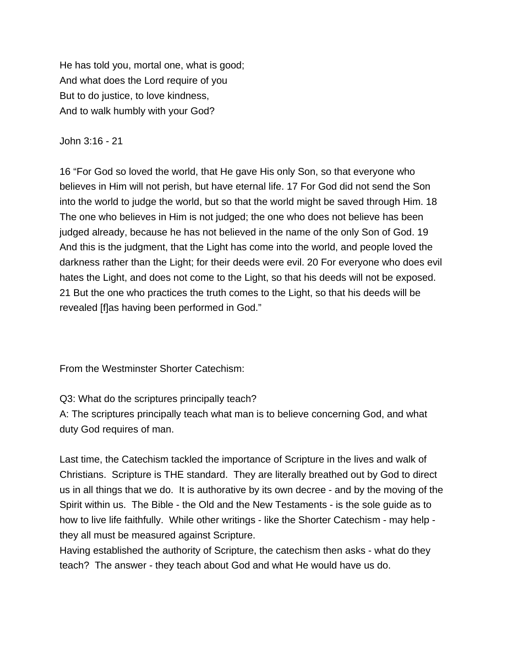He has told you, mortal one, what is good; And what does the Lord require of you But to do justice, to love kindness, And to walk humbly with your God?

## John 3:16 - 21

16 "For God so loved the world, that He gave His only Son, so that everyone who believes in Him will not perish, but have eternal life. 17 For God did not send the Son into the world to judge the world, but so that the world might be saved through Him. 18 The one who believes in Him is not judged; the one who does not believe has been judged already, because he has not believed in the name of the only Son of God. 19 And this is the judgment, that the Light has come into the world, and people loved the darkness rather than the Light; for their deeds were evil. 20 For everyone who does evil hates the Light, and does not come to the Light, so that his deeds will not be exposed. 21 But the one who practices the truth comes to the Light, so that his deeds will be revealed [f]as having been performed in God."

From the Westminster Shorter Catechism:

## Q3: What do the scriptures principally teach?

A: The scriptures principally teach what man is to believe concerning God, and what duty God requires of man.

Last time, the Catechism tackled the importance of Scripture in the lives and walk of Christians. Scripture is THE standard. They are literally breathed out by God to direct us in all things that we do. It is authorative by its own decree - and by the moving of the Spirit within us. The Bible - the Old and the New Testaments - is the sole guide as to how to live life faithfully. While other writings - like the Shorter Catechism - may help they all must be measured against Scripture.

Having established the authority of Scripture, the catechism then asks - what do they teach? The answer - they teach about God and what He would have us do.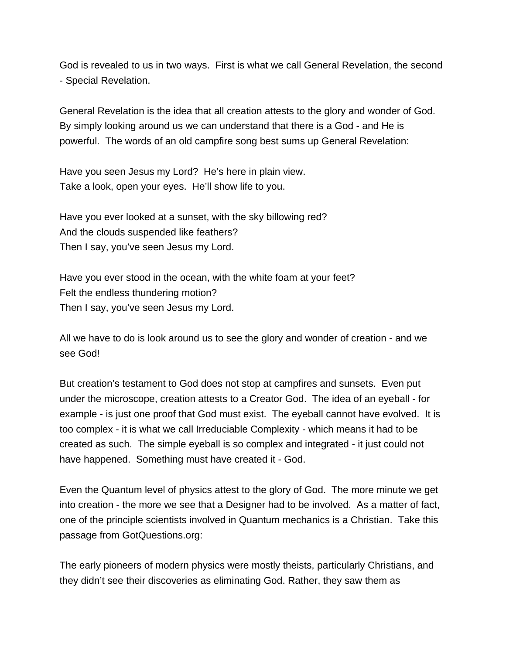God is revealed to us in two ways. First is what we call General Revelation, the second - Special Revelation.

General Revelation is the idea that all creation attests to the glory and wonder of God. By simply looking around us we can understand that there is a God - and He is powerful. The words of an old campfire song best sums up General Revelation:

Have you seen Jesus my Lord? He's here in plain view. Take a look, open your eyes. He'll show life to you.

Have you ever looked at a sunset, with the sky billowing red? And the clouds suspended like feathers? Then I say, you've seen Jesus my Lord.

Have you ever stood in the ocean, with the white foam at your feet? Felt the endless thundering motion? Then I say, you've seen Jesus my Lord.

All we have to do is look around us to see the glory and wonder of creation - and we see God!

But creation's testament to God does not stop at campfires and sunsets. Even put under the microscope, creation attests to a Creator God. The idea of an eyeball - for example - is just one proof that God must exist. The eyeball cannot have evolved. It is too complex - it is what we call Irreduciable Complexity - which means it had to be created as such. The simple eyeball is so complex and integrated - it just could not have happened. Something must have created it - God.

Even the Quantum level of physics attest to the glory of God. The more minute we get into creation - the more we see that a Designer had to be involved. As a matter of fact, one of the principle scientists involved in Quantum mechanics is a Christian. Take this passage from GotQuestions.org:

The early pioneers of modern physics were mostly theists, particularly Christians, and they didn't see their discoveries as eliminating God. Rather, they saw them as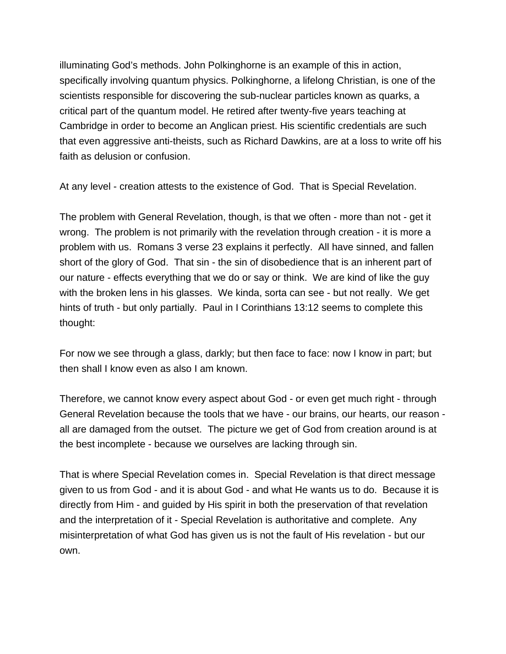illuminating God's methods. John Polkinghorne is an example of this in action, specifically involving quantum physics. Polkinghorne, a lifelong Christian, is one of the scientists responsible for discovering the sub-nuclear particles known as quarks, a critical part of the quantum model. He retired after twenty-five years teaching at Cambridge in order to become an Anglican priest. His scientific credentials are such that even aggressive anti-theists, such as Richard Dawkins, are at a loss to write off his faith as delusion or confusion.

At any level - creation attests to the existence of God. That is Special Revelation.

The problem with General Revelation, though, is that we often - more than not - get it wrong. The problem is not primarily with the revelation through creation - it is more a problem with us. Romans 3 verse 23 explains it perfectly. All have sinned, and fallen short of the glory of God. That sin - the sin of disobedience that is an inherent part of our nature - effects everything that we do or say or think. We are kind of like the guy with the broken lens in his glasses. We kinda, sorta can see - but not really. We get hints of truth - but only partially. Paul in I Corinthians 13:12 seems to complete this thought:

For now we see through a glass, darkly; but then face to face: now I know in part; but then shall I know even as also I am known.

Therefore, we cannot know every aspect about God - or even get much right - through General Revelation because the tools that we have - our brains, our hearts, our reason all are damaged from the outset. The picture we get of God from creation around is at the best incomplete - because we ourselves are lacking through sin.

That is where Special Revelation comes in. Special Revelation is that direct message given to us from God - and it is about God - and what He wants us to do. Because it is directly from Him - and guided by His spirit in both the preservation of that revelation and the interpretation of it - Special Revelation is authoritative and complete. Any misinterpretation of what God has given us is not the fault of His revelation - but our own.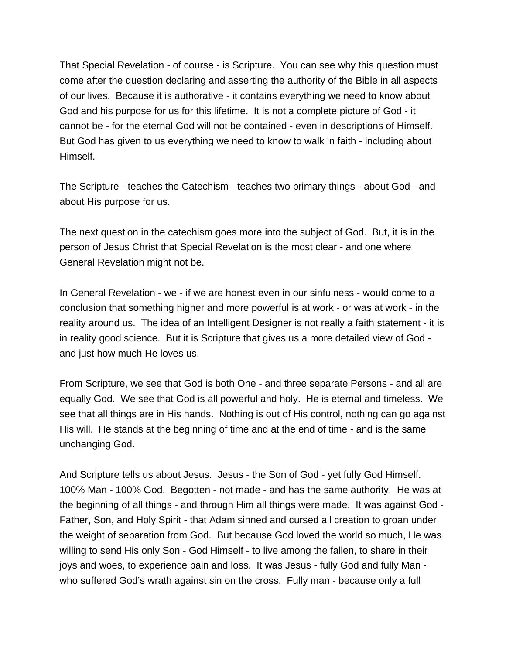That Special Revelation - of course - is Scripture. You can see why this question must come after the question declaring and asserting the authority of the Bible in all aspects of our lives. Because it is authorative - it contains everything we need to know about God and his purpose for us for this lifetime. It is not a complete picture of God - it cannot be - for the eternal God will not be contained - even in descriptions of Himself. But God has given to us everything we need to know to walk in faith - including about Himself.

The Scripture - teaches the Catechism - teaches two primary things - about God - and about His purpose for us.

The next question in the catechism goes more into the subject of God. But, it is in the person of Jesus Christ that Special Revelation is the most clear - and one where General Revelation might not be.

In General Revelation - we - if we are honest even in our sinfulness - would come to a conclusion that something higher and more powerful is at work - or was at work - in the reality around us. The idea of an Intelligent Designer is not really a faith statement - it is in reality good science. But it is Scripture that gives us a more detailed view of God and just how much He loves us.

From Scripture, we see that God is both One - and three separate Persons - and all are equally God. We see that God is all powerful and holy. He is eternal and timeless. We see that all things are in His hands. Nothing is out of His control, nothing can go against His will. He stands at the beginning of time and at the end of time - and is the same unchanging God.

And Scripture tells us about Jesus. Jesus - the Son of God - yet fully God Himself. 100% Man - 100% God. Begotten - not made - and has the same authority. He was at the beginning of all things - and through Him all things were made. It was against God - Father, Son, and Holy Spirit - that Adam sinned and cursed all creation to groan under the weight of separation from God. But because God loved the world so much, He was willing to send His only Son - God Himself - to live among the fallen, to share in their joys and woes, to experience pain and loss. It was Jesus - fully God and fully Man who suffered God's wrath against sin on the cross. Fully man - because only a full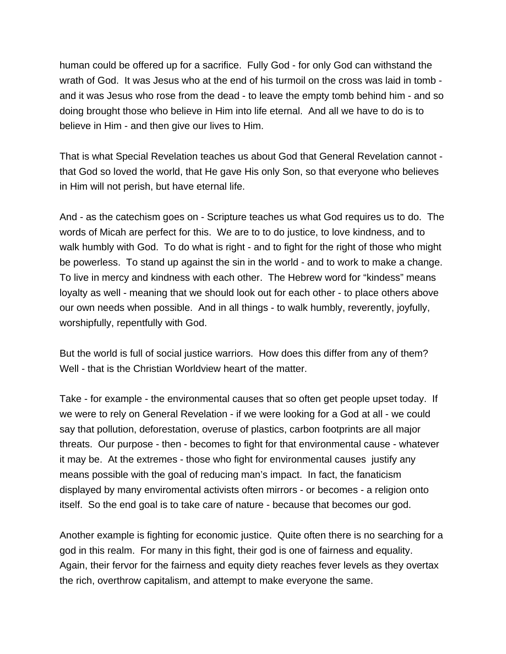human could be offered up for a sacrifice. Fully God - for only God can withstand the wrath of God. It was Jesus who at the end of his turmoil on the cross was laid in tomb and it was Jesus who rose from the dead - to leave the empty tomb behind him - and so doing brought those who believe in Him into life eternal. And all we have to do is to believe in Him - and then give our lives to Him.

That is what Special Revelation teaches us about God that General Revelation cannot that God so loved the world, that He gave His only Son, so that everyone who believes in Him will not perish, but have eternal life.

And - as the catechism goes on - Scripture teaches us what God requires us to do. The words of Micah are perfect for this. We are to to do justice, to love kindness, and to walk humbly with God. To do what is right - and to fight for the right of those who might be powerless. To stand up against the sin in the world - and to work to make a change. To live in mercy and kindness with each other. The Hebrew word for "kindess" means loyalty as well - meaning that we should look out for each other - to place others above our own needs when possible. And in all things - to walk humbly, reverently, joyfully, worshipfully, repentfully with God.

But the world is full of social justice warriors. How does this differ from any of them? Well - that is the Christian Worldview heart of the matter.

Take - for example - the environmental causes that so often get people upset today. If we were to rely on General Revelation - if we were looking for a God at all - we could say that pollution, deforestation, overuse of plastics, carbon footprints are all major threats. Our purpose - then - becomes to fight for that environmental cause - whatever it may be. At the extremes - those who fight for environmental causes justify any means possible with the goal of reducing man's impact. In fact, the fanaticism displayed by many enviromental activists often mirrors - or becomes - a religion onto itself. So the end goal is to take care of nature - because that becomes our god.

Another example is fighting for economic justice. Quite often there is no searching for a god in this realm. For many in this fight, their god is one of fairness and equality. Again, their fervor for the fairness and equity diety reaches fever levels as they overtax the rich, overthrow capitalism, and attempt to make everyone the same.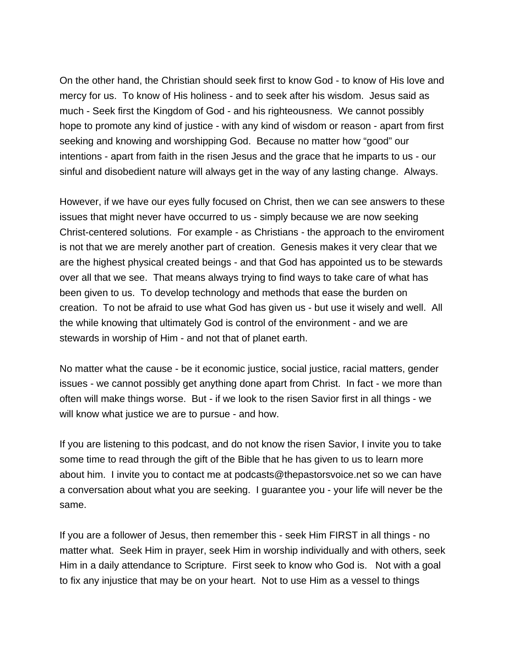On the other hand, the Christian should seek first to know God - to know of His love and mercy for us. To know of His holiness - and to seek after his wisdom. Jesus said as much - Seek first the Kingdom of God - and his righteousness. We cannot possibly hope to promote any kind of justice - with any kind of wisdom or reason - apart from first seeking and knowing and worshipping God. Because no matter how "good" our intentions - apart from faith in the risen Jesus and the grace that he imparts to us - our sinful and disobedient nature will always get in the way of any lasting change. Always.

However, if we have our eyes fully focused on Christ, then we can see answers to these issues that might never have occurred to us - simply because we are now seeking Christ-centered solutions. For example - as Christians - the approach to the enviroment is not that we are merely another part of creation. Genesis makes it very clear that we are the highest physical created beings - and that God has appointed us to be stewards over all that we see. That means always trying to find ways to take care of what has been given to us. To develop technology and methods that ease the burden on creation. To not be afraid to use what God has given us - but use it wisely and well. All the while knowing that ultimately God is control of the environment - and we are stewards in worship of Him - and not that of planet earth.

No matter what the cause - be it economic justice, social justice, racial matters, gender issues - we cannot possibly get anything done apart from Christ. In fact - we more than often will make things worse. But - if we look to the risen Savior first in all things - we will know what justice we are to pursue - and how.

If you are listening to this podcast, and do not know the risen Savior, I invite you to take some time to read through the gift of the Bible that he has given to us to learn more about him. I invite you to contact me at podcasts@thepastorsvoice.net so we can have a conversation about what you are seeking. I guarantee you - your life will never be the same.

If you are a follower of Jesus, then remember this - seek Him FIRST in all things - no matter what. Seek Him in prayer, seek Him in worship individually and with others, seek Him in a daily attendance to Scripture. First seek to know who God is. Not with a goal to fix any injustice that may be on your heart. Not to use Him as a vessel to things